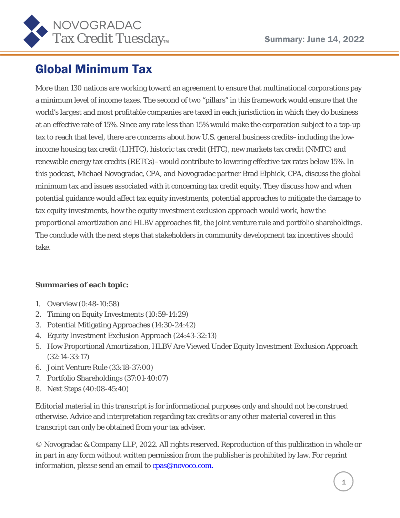

# Global Minimum Tax

More than 130 nations are working toward an agreement to ensure that multinational corporations pay a minimum level of income taxes. The second of two "pillars" in this framework would ensure that the world's largest and most profitable companies are taxed in each jurisdiction in which they do business at an effective rate of 15%. Since any rate less than 15% would make the corporation subject to a top-up tax to reach that level, there are concerns about how U.S. general business credits–including the lowincome housing tax credit (LIHTC), historic tax credit (HTC), new markets tax credit (NMTC) and renewable energy tax credits (RETCs)–would contribute to lowering effective tax rates below 15%. In this podcast, Michael Novogradac, CPA, and Novogradac partner Brad Elphick, CPA, discuss the global minimum tax and issues associated with it concerning tax credit equity. They discuss how and when potential guidance would affect tax equity investments, potential approaches to mitigate the damage to tax equity investments, how the equity investment exclusion approach would work, how the proportional amortization and HLBV approaches fit, the joint venture rule and portfolio shareholdings. The conclude with the next steps that stakeholders in community development tax incentives should take.

#### **Summaries of each topic:**

- 1. Overview (0:48-10:58)
- 2. Timing on Equity Investments (10:59-14:29)
- 3. Potential Mitigating Approaches (14:30-24:42)
- 4. Equity Investment Exclusion Approach (24:43-32:13)
- 5. How Proportional Amortization, HLBV Are Viewed Under Equity Investment Exclusion Approach (32:14-33:17)
- 6. Joint Venture Rule (33:18-37:00)
- 7. Portfolio Shareholdings (37:01-40:07)
- 8. Next Steps (40:08-45:40)

Editorial material in this transcript is for informational purposes only and should not be construed otherwise. Advice and interpretation regarding tax credits or any other material covered in this transcript can only be obtained from your tax adviser.

© Novogradac & Company LLP, 2022. All rights reserved. Reproduction of this publication in whole or in part in any form without written permission from the publisher is prohibited by law. For reprint information, please send an email to [cpas@novoco.com.](mailto:cpas@novoco.com.)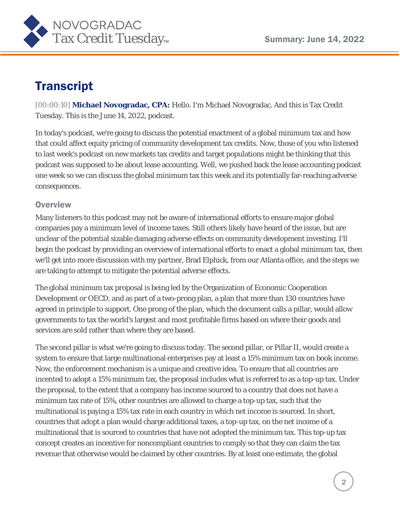

# **Transcript**

[00:00:10] **Michael Novogradac, CPA:** Hello. I'm Michael Novogradac. And this is Tax Credit Tuesday. This is the June 14, 2022, podcast.

In today's podcast, we're going to discuss the potential enactment of a global minimum tax and how that could affect equity pricing of community development tax credits. Now, those of you who listened to last week's podcast on new markets tax credits and target populations might be thinking that this podcast was supposed to be about lease accounting. Well, we pushed back the lease accounting podcast one week so we can discuss the global minimum tax this week and its potentially far-reaching adverse consequences.

### **Overview**

Many listeners to this podcast may not be aware of international efforts to ensure major global companies pay a minimum level of income taxes. Still others likely have heard of the issue, but are unclear of the potential sizable damaging adverse effects on community development investing. I'll begin the podcast by providing an overview of international efforts to enact a global minimum tax, then we'll get into more discussion with my partner, Brad Elphick, from our Atlanta office, and the steps we are taking to attempt to mitigate the potential adverse effects.

The global minimum tax proposal is being led by the Organization of Economic Cooperation Development or OECD, and as part of a two-prong plan, a plan that more than 130 countries have agreed in principle to support. One prong of the plan, which the document calls a pillar, would allow governments to tax the world's largest and most profitable firms based on where their goods and services are sold rather than where they are based.

The second pillar is what we're going to discuss today. The second pillar, or Pillar II, would create a system to ensure that large multinational enterprises pay at least a 15% minimum tax on book income. Now, the enforcement mechanism is a unique and creative idea. To ensure that all countries are incented to adopt a 15% minimum tax, the proposal includes what is referred to as a top-up tax. Under the proposal, to the extent that a company has income sourced to a country that does not have a minimum tax rate of 15%, other countries are allowed to charge a top-up tax, such that the multinational is paying a 15% tax rate in each country in which net income is sourced. In short, countries that adopt a plan would charge additional taxes, a top-up tax, on the net income of a multinational that is sourced to countries that have not adopted the minimum tax. This top-up tax concept creates an incentive for noncompliant countries to comply so that they can claim the tax revenue that otherwise would be claimed by other countries. By at least one estimate, the global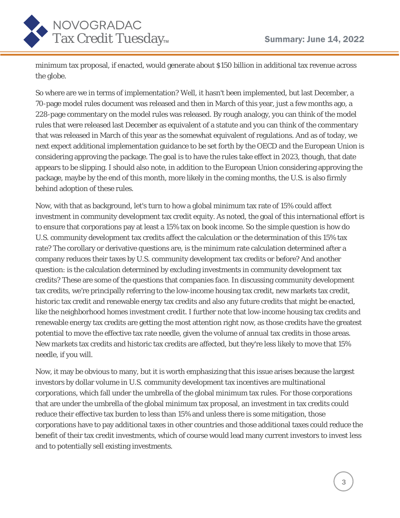

minimum tax proposal, if enacted, would generate about \$150 billion in additional tax revenue across the globe.

So where are we in terms of implementation? Well, it hasn't been implemented, but last December, a 70-page model rules document was released and then in March of this year, just a few months ago, a 228-page commentary on the model rules was released. By rough analogy, you can think of the model rules that were released last December as equivalent of a statute and you can think of the commentary that was released in March of this year as the somewhat equivalent of regulations. And as of today, we next expect additional implementation guidance to be set forth by the OECD and the European Union is considering approving the package. The goal is to have the rules take effect in 2023, though, that date appears to be slipping. I should also note, in addition to the European Union considering approving the package, maybe by the end of this month, more likely in the coming months, the U.S. is also firmly behind adoption of these rules.

Now, with that as background, let's turn to how a global minimum tax rate of 15% could affect investment in community development tax credit equity. As noted, the goal of this international effort is to ensure that corporations pay at least a 15% tax on book income. So the simple question is how do U.S. community development tax credits affect the calculation or the determination of this 15% tax rate? The corollary or derivative questions are, is the minimum rate calculation determined after a company reduces their taxes by U.S. community development tax credits or before? And another question: is the calculation determined by excluding investments in community development tax credits? These are some of the questions that companies face. In discussing community development tax credits, we're principally referring to the low-income housing tax credit, new markets tax credit, historic tax credit and renewable energy tax credits and also any future credits that might be enacted, like the neighborhood homes investment credit. I further note that low-income housing tax credits and renewable energy tax credits are getting the most attention right now, as those credits have the greatest potential to move the effective tax rate needle, given the volume of annual tax credits in those areas. New markets tax credits and historic tax credits are affected, but they're less likely to move that 15% needle, if you will.

Now, it may be obvious to many, but it is worth emphasizing that this issue arises because the largest investors by dollar volume in U.S. community development tax incentives are multinational corporations, which fall under the umbrella of the global minimum tax rules. For those corporations that are under the umbrella of the global minimum tax proposal, an investment in tax credits could reduce their effective tax burden to less than 15% and unless there is some mitigation, those corporations have to pay additional taxes in other countries and those additional taxes could reduce the benefit of their tax credit investments, which of course would lead many current investors to invest less and to potentially sell existing investments.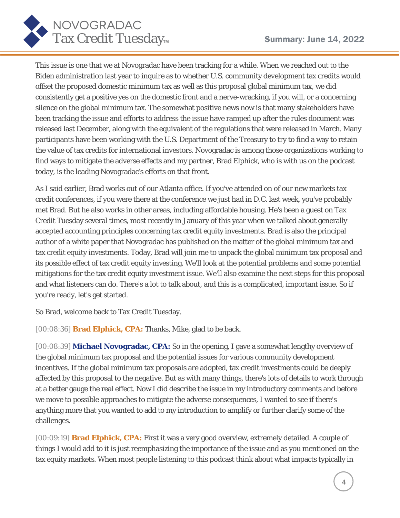

This issue is one that we at Novogradac have been tracking for a while. When we reached out to the Biden administration last year to inquire as to whether U.S. community development tax credits would offset the proposed domestic minimum tax as well as this proposal global minimum tax, we did consistently get a positive yes on the domestic front and a nerve-wracking, if you will, or a concerning silence on the global minimum tax. The somewhat positive news now is that many stakeholders have been tracking the issue and efforts to address the issue have ramped up after the rules document was released last December, along with the equivalent of the regulations that were released in March. Many participants have been working with the U.S. Department of the Treasury to try to find a way to retain the value of tax credits for international investors. Novogradac is among those organizations working to find ways to mitigate the adverse effects and my partner, Brad Elphick, who is with us on the podcast today, is the leading Novogradac's efforts on that front.

As I said earlier, Brad works out of our Atlanta office. If you've attended on of our new markets tax credit conferences, if you were there at the conference we just had in D.C. last week, you've probably met Brad. But he also works in other areas, including affordable housing. He's been a guest on Tax Credit Tuesday several times, most recently in January of this year when we talked about generally accepted accounting principles concerning tax credit equity investments. Brad is also the principal author of a white paper that Novogradac has published on the matter of the global minimum tax and tax credit equity investments. Today, Brad will join me to unpack the global minimum tax proposal and its possible effect of tax credit equity investing. We'll look at the potential problems and some potential mitigations for the tax credit equity investment issue. We'll also examine the next steps for this proposal and what listeners can do. There's a lot to talk about, and this is a complicated, important issue. So if you're ready, let's get started.

So Brad, welcome back to Tax Credit Tuesday.

[00:08:36] **Brad Elphick, CPA:** Thanks, Mike, glad to be back.

[00:08:39] **Michael Novogradac, CPA:** So in the opening, I gave a somewhat lengthy overview of the global minimum tax proposal and the potential issues for various community development incentives. If the global minimum tax proposals are adopted, tax credit investments could be deeply affected by this proposal to the negative. But as with many things, there's lots of details to work through at a better gauge the real effect. Now I did describe the issue in my introductory comments and before we move to possible approaches to mitigate the adverse consequences, I wanted to see if there's anything more that you wanted to add to my introduction to amplify or further clarify some of the challenges.

[00:09:19] **Brad Elphick, CPA:** First it was a very good overview, extremely detailed. A couple of things I would add to it is just reemphasizing the importance of the issue and as you mentioned on the tax equity markets. When most people listening to this podcast think about what impacts typically in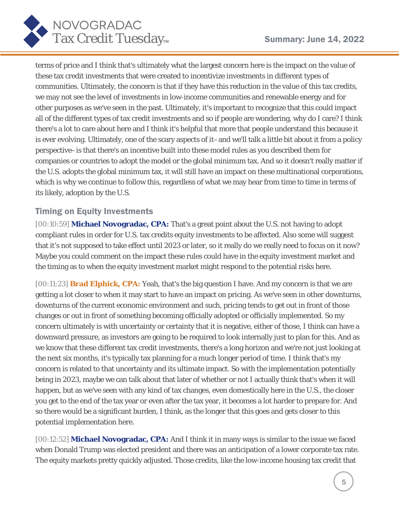

terms of price and I think that's ultimately what the largest concern here is the impact on the value of these tax credit investments that were created to incentivize investments in different types of communities. Ultimately, the concern is that if they have this reduction in the value of this tax credits, we may not see the level of investments in low-income communities and renewable energy and for other purposes as we've seen in the past. Ultimately, it's important to recognize that this could impact all of the different types of tax credit investments and so if people are wondering, why do I care? I think there's a lot to care about here and I think it's helpful that more that people understand this because it is ever evolving. Ultimately, one of the scary aspects of it–and we'll talk a little bit about it from a policy perspective–is that there's an incentive built into these model rules as you described them for companies or countries to adopt the model or the global minimum tax. And so it doesn't really matter if the U.S. adopts the global minimum tax, it will still have an impact on these multinational corporations, which is why we continue to follow this, regardless of what we may hear from time to time in terms of its likely, adoption by the U.S.

## Timing on Equity Investments

[00:10:59] **Michael Novogradac, CPA:** That's a great point about the U.S. not having to adopt compliant rules in order for U.S. tax credits equity investments to be affected. Also some will suggest that it's not supposed to take effect until 2023 or later, so it really do we really need to focus on it now? Maybe you could comment on the impact these rules could have in the equity investment market and the timing as to when the equity investment market might respond to the potential risks here.

[00:11:23] **Brad Elphick, CPA:** Yeah, that's the big question I have. And my concern is that we are getting a lot closer to when it may start to have an impact on pricing. As we've seen in other downturns, downturns of the current economic environment and such, pricing tends to get out in front of those changes or out in front of something becoming officially adopted or officially implemented. So my concern ultimately is with uncertainty or certainty that it is negative, either of those, I think can have a downward pressure, as investors are going to be required to look internally just to plan for this. And as we know that these different tax credit investments, there's a long horizon and we're not just looking at the next six months, it's typically tax planning for a much longer period of time. I think that's my concern is related to that uncertainty and its ultimate impact. So with the implementation potentially being in 2023, maybe we can talk about that later of whether or not I actually think that's when it will happen, but as we've seen with any kind of tax changes, even domestically here in the U.S., the closer you get to the end of the tax year or even after the tax year, it becomes a lot harder to prepare for. And so there would be a significant burden, I think, as the longer that this goes and gets closer to this potential implementation here.

[00:12:52] **Michael Novogradac, CPA:** And I think it in many ways is similar to the issue we faced when Donald Trump was elected president and there was an anticipation of a lower corporate tax rate. The equity markets pretty quickly adjusted. Those credits, like the low-income housing tax credit that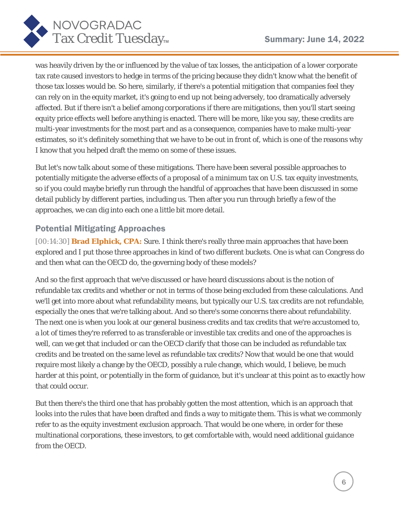

was heavily driven by the or influenced by the value of tax losses, the anticipation of a lower corporate tax rate caused investors to hedge in terms of the pricing because they didn't know what the benefit of those tax losses would be. So here, similarly, if there's a potential mitigation that companies feel they can rely on in the equity market, it's going to end up not being adversely, too dramatically adversely affected. But if there isn't a belief among corporations if there are mitigations, then you'll start seeing equity price effects well before anything is enacted. There will be more, like you say, these credits are multi-year investments for the most part and as a consequence, companies have to make multi-year estimates, so it's definitely something that we have to be out in front of, which is one of the reasons why I know that you helped draft the memo on some of these issues.

But let's now talk about some of these mitigations. There have been several possible approaches to potentially mitigate the adverse effects of a proposal of a minimum tax on U.S. tax equity investments, so if you could maybe briefly run through the handful of approaches that have been discussed in some detail publicly by different parties, including us. Then after you run through briefly a few of the approaches, we can dig into each one a little bit more detail.

## Potential Mitigating Approaches

[00:14:30] **Brad Elphick, CPA:** Sure. I think there's really three main approaches that have been explored and I put those three approaches in kind of two different buckets. One is what can Congress do and then what can the OECD do, the governing body of these models?

And so the first approach that we've discussed or have heard discussions about is the notion of refundable tax credits and whether or not in terms of those being excluded from these calculations. And we'll get into more about what refundability means, but typically our U.S. tax credits are not refundable, especially the ones that we're talking about. And so there's some concerns there about refundability. The next one is when you look at our general business credits and tax credits that we're accustomed to, a lot of times they're referred to as transferable or investible tax credits and one of the approaches is well, can we get that included or can the OECD clarify that those can be included as refundable tax credits and be treated on the same level as refundable tax credits? Now that would be one that would require most likely a change by the OECD, possibly a rule change, which would, I believe, be much harder at this point, or potentially in the form of guidance, but it's unclear at this point as to exactly how that could occur.

But then there's the third one that has probably gotten the most attention, which is an approach that looks into the rules that have been drafted and finds a way to mitigate them. This is what we commonly refer to as the equity investment exclusion approach. That would be one where, in order for these multinational corporations, these investors, to get comfortable with, would need additional guidance from the OECD.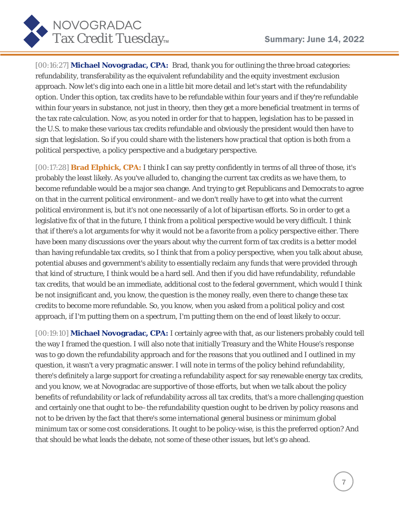

[00:16:27] **Michael Novogradac, CPA:** Brad, thank you for outlining the three broad categories: refundability, transferability as the equivalent refundability and the equity investment exclusion approach. Now let's dig into each one in a little bit more detail and let's start with the refundability option. Under this option, tax credits have to be refundable within four years and if they're refundable within four years in substance, not just in theory, then they get a more beneficial treatment in terms of the tax rate calculation. Now, as you noted in order for that to happen, legislation has to be passed in the U.S. to make these various tax credits refundable and obviously the president would then have to sign that legislation. So if you could share with the listeners how practical that option is both from a political perspective, a policy perspective and a budgetary perspective.

[00:17:28] **Brad Elphick, CPA:** I think I can say pretty confidently in terms of all three of those, it's probably the least likely. As you've alluded to, changing the current tax credits as we have them, to become refundable would be a major sea change. And trying to get Republicans and Democrats to agree on that in the current political environment–and we don't really have to get into what the current political environment is, but it's not one necessarily of a lot of bipartisan efforts. So in order to get a legislative fix of that in the future, I think from a political perspective would be very difficult. I think that if there's a lot arguments for why it would not be a favorite from a policy perspective either. There have been many discussions over the years about why the current form of tax credits is a better model than having refundable tax credits, so I think that from a policy perspective, when you talk about abuse, potential abuses and government's ability to essentially reclaim any funds that were provided through that kind of structure, I think would be a hard sell. And then if you did have refundability, refundable tax credits, that would be an immediate, additional cost to the federal government, which would I think be not insignificant and, you know, the question is the money really, even there to change these tax credits to become more refundable. So, you know, when you asked from a political policy and cost approach, if I'm putting them on a spectrum, I'm putting them on the end of least likely to occur.

[00:19:10] **Michael Novogradac, CPA:** I certainly agree with that, as our listeners probably could tell the way I framed the question. I will also note that initially Treasury and the White House's response was to go down the refundability approach and for the reasons that you outlined and I outlined in my question, it wasn't a very pragmatic answer. I will note in terms of the policy behind refundability, there's definitely a large support for creating a refundability aspect for say renewable energy tax credits, and you know, we at Novogradac are supportive of those efforts, but when we talk about the policy benefits of refundability or lack of refundability across all tax credits, that's a more challenging question and certainly one that ought to be–the refundability question ought to be driven by policy reasons and not to be driven by the fact that there's some international general business or minimum global minimum tax or some cost considerations. It ought to be policy-wise, is this the preferred option? And that should be what leads the debate, not some of these other issues, but let's go ahead.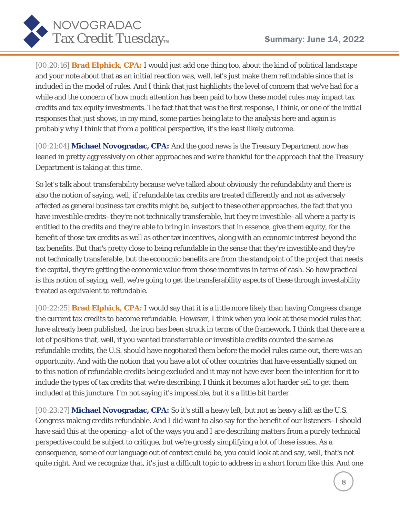

[00:20:16] **Brad Elphick, CPA:** I would just add one thing too, about the kind of political landscape and your note about that as an initial reaction was, well, let's just make them refundable since that is included in the model of rules. And I think that just highlights the level of concern that we've had for a while and the concern of how much attention has been paid to how these model rules may impact tax credits and tax equity investments. The fact that that was the first response, I think, or one of the initial responses that just shows, in my mind, some parties being late to the analysis here and again is probably why I think that from a political perspective, it's the least likely outcome.

[00:21:04] **Michael Novogradac, CPA:** And the good news is the Treasury Department now has leaned in pretty aggressively on other approaches and we're thankful for the approach that the Treasury Department is taking at this time.

So let's talk about transferability because we've talked about obviously the refundability and there is also the notion of saying, well, if refundable tax credits are treated differently and not as adversely affected as general business tax credits might be, subject to these other approaches, the fact that you have investible credits–they're not technically transferable, but they're investible–all where a party is entitled to the credits and they're able to bring in investors that in essence, give them equity, for the benefit of those tax credits as well as other tax incentives, along with an economic interest beyond the tax benefits. But that's pretty close to being refundable in the sense that they're investible and they're not technically transferable, but the economic benefits are from the standpoint of the project that needs the capital, they're getting the economic value from those incentives in terms of cash. So how practical is this notion of saying, well, we're going to get the transferability aspects of these through investability treated as equivalent to refundable.

[00:22:25] **Brad Elphick, CPA:** I would say that it is a little more likely than having Congress change the current tax credits to become refundable. However, I think when you look at these model rules that have already been published, the iron has been struck in terms of the framework. I think that there are a lot of positions that, well, if you wanted transferrable or investible credits counted the same as refundable credits, the U.S. should have negotiated them before the model rules came out, there was an opportunity. And with the notion that you have a lot of other countries that have essentially signed on to this notion of refundable credits being excluded and it may not have ever been the intention for it to include the types of tax credits that we're describing, I think it becomes a lot harder sell to get them included at this juncture. I'm not saying it's impossible, but it's a little bit harder.

[00:23:27] **Michael Novogradac, CPA:** So it's still a heavy left, but not as heavy a lift as the U.S. Congress making credits refundable. And I did want to also say for the benefit of our listeners–I should have said this at the opening–a lot of the ways you and I are describing matters from a purely technical perspective could be subject to critique, but we're grossly simplifying a lot of these issues. As a consequence, some of our language out of context could be, you could look at and say, well, that's not quite right. And we recognize that, it's just a difficult topic to address in a short forum like this. And one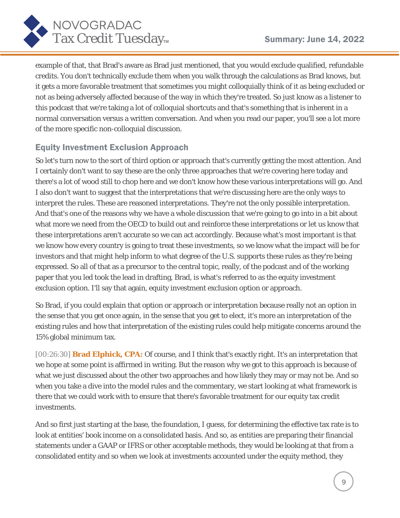



example of that, that Brad's aware as Brad just mentioned, that you would exclude qualified, refundable credits. You don't technically exclude them when you walk through the calculations as Brad knows, but it gets a more favorable treatment that sometimes you might colloquially think of it as being excluded or not as being adversely affected because of the way in which they're treated. So just know as a listener to this podcast that we're taking a lot of colloquial shortcuts and that's something that is inherent in a normal conversation versus a written conversation. And when you read our paper, you'll see a lot more of the more specific non-colloquial discussion.

## Equity Investment Exclusion Approach

So let's turn now to the sort of third option or approach that's currently getting the most attention. And I certainly don't want to say these are the only three approaches that we're covering here today and there's a lot of wood still to chop here and we don't know how these various interpretations will go. And I also don't want to suggest that the interpretations that we're discussing here are the only ways to interpret the rules. These are reasoned interpretations. They're not the only possible interpretation. And that's one of the reasons why we have a whole discussion that we're going to go into in a bit about what more we need from the OECD to build out and reinforce these interpretations or let us know that these interpretations aren't accurate so we can act accordingly. Because what's most important is that we know how every country is going to treat these investments, so we know what the impact will be for investors and that might help inform to what degree of the U.S. supports these rules as they're being expressed. So all of that as a precursor to the central topic, really, of the podcast and of the working paper that you led took the lead in drafting, Brad, is what's referred to as the equity investment exclusion option. I'll say that again, equity investment exclusion option or approach.

So Brad, if you could explain that option or approach or interpretation because really not an option in the sense that you get once again, in the sense that you get to elect, it's more an interpretation of the existing rules and how that interpretation of the existing rules could help mitigate concerns around the 15% global minimum tax.

[00:26:30] **Brad Elphick, CPA:** Of course, and I think that's exactly right. It's an interpretation that we hope at some point is affirmed in writing. But the reason why we got to this approach is because of what we just discussed about the other two approaches and how likely they may or may not be. And so when you take a dive into the model rules and the commentary, we start looking at what framework is there that we could work with to ensure that there's favorable treatment for our equity tax credit investments.

And so first just starting at the base, the foundation, I guess, for determining the effective tax rate is to look at entities' book income on a consolidated basis. And so, as entities are preparing their financial statements under a GAAP or IFRS or other acceptable methods, they would be looking at that from a consolidated entity and so when we look at investments accounted under the equity method, they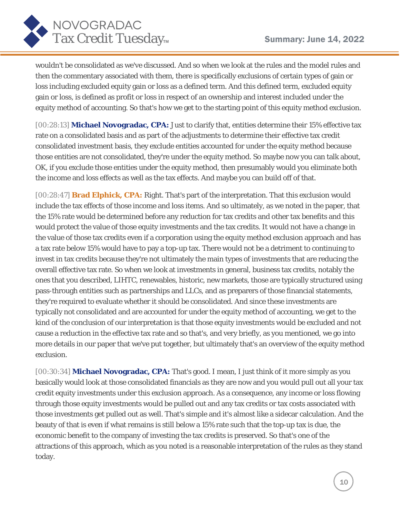

wouldn't be consolidated as we've discussed. And so when we look at the rules and the model rules and then the commentary associated with them, there is specifically exclusions of certain types of gain or loss including excluded equity gain or loss as a defined term. And this defined term, excluded equity gain or loss, is defined as profit or loss in respect of an ownership and interest included under the equity method of accounting. So that's how we get to the starting point of this equity method exclusion.

[00:28:13] **Michael Novogradac, CPA:** Just to clarify that, entities determine their 15% effective tax rate on a consolidated basis and as part of the adjustments to determine their effective tax credit consolidated investment basis, they exclude entities accounted for under the equity method because those entities are not consolidated, they're under the equity method. So maybe now you can talk about, OK, if you exclude those entities under the equity method, then presumably would you eliminate both the income and loss effects as well as the tax effects. And maybe you can build off of that.

[00:28:47] **Brad Elphick, CPA:** Right. That's part of the interpretation. That this exclusion would include the tax effects of those income and loss items. And so ultimately, as we noted in the paper, that the 15% rate would be determined before any reduction for tax credits and other tax benefits and this would protect the value of those equity investments and the tax credits. It would not have a change in the value of those tax credits even if a corporation using the equity method exclusion approach and has a tax rate below 15% would have to pay a top-up tax. There would not be a detriment to continuing to invest in tax credits because they're not ultimately the main types of investments that are reducing the overall effective tax rate. So when we look at investments in general, business tax credits, notably the ones that you described, LIHTC, renewables, historic, new markets, those are typically structured using pass-through entities such as partnerships and LLCs, and as preparers of those financial statements, they're required to evaluate whether it should be consolidated. And since these investments are typically not consolidated and are accounted for under the equity method of accounting, we get to the kind of the conclusion of our interpretation is that those equity investments would be excluded and not cause a reduction in the effective tax rate and so that's, and very briefly, as you mentioned, we go into more details in our paper that we've put together, but ultimately that's an overview of the equity method exclusion.

[00:30:34] **Michael Novogradac, CPA:** That's good. I mean, I just think of it more simply as you basically would look at those consolidated financials as they are now and you would pull out all your tax credit equity investments under this exclusion approach. As a consequence, any income or loss flowing through those equity investments would be pulled out and any tax credits or tax costs associated with those investments get pulled out as well. That's simple and it's almost like a sidecar calculation. And the beauty of that is even if what remains is still below a 15% rate such that the top-up tax is due, the economic benefit to the company of investing the tax credits is preserved. So that's one of the attractions of this approach, which as you noted is a reasonable interpretation of the rules as they stand today.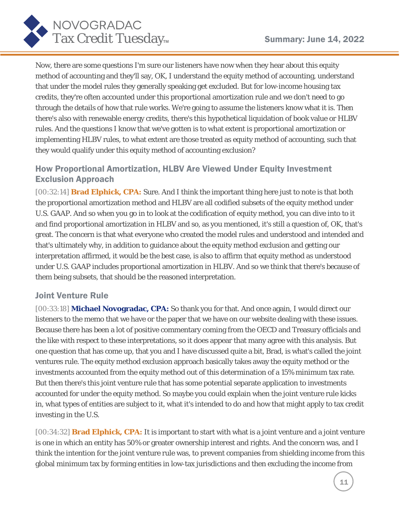

Now, there are some questions I'm sure our listeners have now when they hear about this equity method of accounting and they'll say, OK, I understand the equity method of accounting, understand that under the model rules they generally speaking get excluded. But for low-income housing tax credits, they're often accounted under this proportional amortization rule and we don't need to go through the details of how that rule works. We're going to assume the listeners know what it is. Then there's also with renewable energy credits, there's this hypothetical liquidation of book value or HLBV rules. And the questions I know that we've gotten is to what extent is proportional amortization or implementing HLBV rules, to what extent are those treated as equity method of accounting, such that they would qualify under this equity method of accounting exclusion?

## How Proportional Amortization, HLBV Are Viewed Under Equity Investment Exclusion Approach

[00:32:14] **Brad Elphick, CPA:** Sure. And I think the important thing here just to note is that both the proportional amortization method and HLBV are all codified subsets of the equity method under U.S. GAAP. And so when you go in to look at the codification of equity method, you can dive into to it and find proportional amortization in HLBV and so, as you mentioned, it's still a question of, OK, that's great. The concern is that what everyone who created the model rules and understood and intended and that's ultimately why, in addition to guidance about the equity method exclusion and getting our interpretation affirmed, it would be the best case, is also to affirm that equity method as understood under U.S. GAAP includes proportional amortization in HLBV. And so we think that there's because of them being subsets, that should be the reasoned interpretation.

### Joint Venture Rule

[00:33:18] **Michael Novogradac, CPA:** So thank you for that. And once again, I would direct our listeners to the memo that we have or the paper that we have on our website dealing with these issues. Because there has been a lot of positive commentary coming from the OECD and Treasury officials and the like with respect to these interpretations, so it does appear that many agree with this analysis. But one question that has come up, that you and I have discussed quite a bit, Brad, is what's called the joint ventures rule. The equity method exclusion approach basically takes away the equity method or the investments accounted from the equity method out of this determination of a 15% minimum tax rate. But then there's this joint venture rule that has some potential separate application to investments accounted for under the equity method. So maybe you could explain when the joint venture rule kicks in, what types of entities are subject to it, what it's intended to do and how that might apply to tax credit investing in the U.S.

[00:34:32] **Brad Elphick, CPA:** It is important to start with what is a joint venture and a joint venture is one in which an entity has 50% or greater ownership interest and rights. And the concern was, and I think the intention for the joint venture rule was, to prevent companies from shielding income from this global minimum tax by forming entities in low-tax jurisdictions and then excluding the income from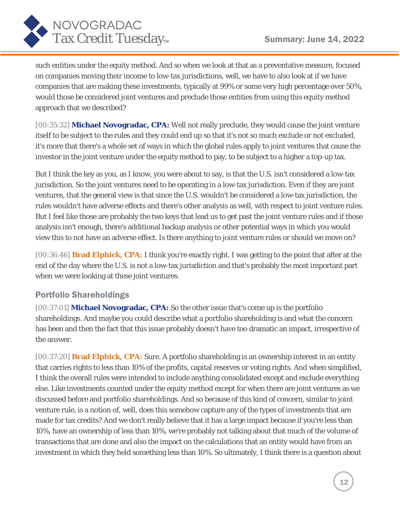

such entities under the equity method. And so when we look at that as a preventative measure, focused on companies moving their income to low-tax jurisdictions, well, we have to also look at if we have companies that are making these investments, typically at 99% or some very high percentage over 50%, would those be considered joint ventures and preclude those entities from using this equity method approach that we described?

[00:35:32] **Michael Novogradac, CPA:** Well not really preclude, they would cause the joint venture itself to be subject to the rules and they could end up so that it's not so much exclude or not excluded, it's more that there's a whole set of ways in which the global rules apply to joint ventures that cause the investor in the joint venture under the equity method to pay, to be subject to a higher a top-up tax.

But I think the key as you, as I know, you were about to say, is that the U.S. isn't considered a low-tax jurisdiction. So the joint ventures need to be operating in a low-tax jurisdiction. Even if they are joint ventures, that the general view is that since the U.S. wouldn't be considered a low-tax jurisdiction, the rules wouldn't have adverse effects and there's other analysis as well, with respect to joint venture rules. But I feel like those are probably the two keys that lead us to get past the joint venture rules and if those analysis isn't enough, there's additional backup analysis or other potential ways in which you would view this to not have an adverse effect. Is there anything to joint venture rules or should we move on?

[00:36:46] **Brad Elphick, CPA:** I think you're exactly right. I was getting to the point that after at the end of the day where the U.S. is not a low-tax jurisdiction and that's probably the most important part when we were looking at these joint ventures.

## Portfolio Shareholdings

[00:37:01] **Michael Novogradac, CPA:** So the other issue that's come up is the portfolio shareholdings. And maybe you could describe what a portfolio shareholding is and what the concern has been and then the fact that this issue probably doesn't have too dramatic an impact, irrespective of the answer.

[00:37:20] **Brad Elphick, CPA:** Sure. A portfolio shareholding is an ownership interest in an entity that carries rights to less than 10% of the profits, capital reserves or voting rights. And when simplified, I think the overall rules were intended to include anything consolidated except and exclude everything else. Like investments counted under the equity method except for when there are joint ventures as we discussed before and portfolio shareholdings. And so because of this kind of concern, similar to joint venture rule, is a notion of, well, does this somehow capture any of the types of investments that are made for tax credits? And we don't really believe that it has a large impact because if you're less than 10%, have an ownership of less than 10%, we're probably not talking about that much of the volume of transactions that are done and also the impact on the calculations that an entity would have from an investment in which they held something less than 10%. So ultimately, I think there is a question about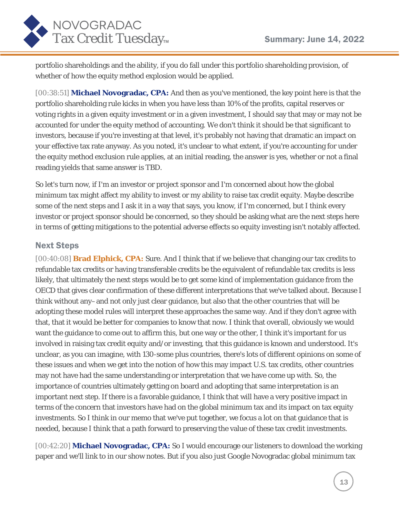

portfolio shareholdings and the ability, if you do fall under this portfolio shareholding provision, of whether of how the equity method explosion would be applied.

[00:38:51] **Michael Novogradac, CPA:** And then as you've mentioned, the key point here is that the portfolio shareholding rule kicks in when you have less than 10% of the profits, capital reserves or voting rights in a given equity investment or in a given investment, I should say that may or may not be accounted for under the equity method of accounting. We don't think it should be that significant to investors, because if you're investing at that level, it's probably not having that dramatic an impact on your effective tax rate anyway. As you noted, it's unclear to what extent, if you're accounting for under the equity method exclusion rule applies, at an initial reading, the answer is yes, whether or not a final reading yields that same answer is TBD.

So let's turn now, if I'm an investor or project sponsor and I'm concerned about how the global minimum tax might affect my ability to invest or my ability to raise tax credit equity. Maybe describe some of the next steps and I ask it in a way that says, you know, *if* I'm concerned, but I think every investor or project sponsor should be concerned, so they should be asking what are the next steps here in terms of getting mitigations to the potential adverse effects so equity investing isn't notably affected.

#### Next Steps

[00:40:08] **Brad Elphick, CPA:** Sure. And I think that if we believe that changing our tax credits to refundable tax credits or having transferable credits be the equivalent of refundable tax credits is less likely, that ultimately the next steps would be to get some kind of implementation guidance from the OECD that gives clear confirmation of these different interpretations that we've talked about. Because I think without any–and not only just clear guidance, but also that the other countries that will be adopting these model rules will interpret these approaches the same way. And if they don't agree with that, that it would be better for companies to know that now. I think that overall, obviously we would want the guidance to come out to affirm this, but one way or the other, I think it's important for us involved in raising tax credit equity and/or investing, that this guidance is known and understood. It's unclear, as you can imagine, with 130-some plus countries, there's lots of different opinions on some of these issues and when we get into the notion of how this may impact U.S. tax credits, other countries may not have had the same understanding or interpretation that we have come up with. So, the importance of countries ultimately getting on board and adopting that same interpretation is an important next step. If there is a favorable guidance, I think that will have a very positive impact in terms of the concern that investors have had on the global minimum tax and its impact on tax equity investments. So I think in our memo that we've put together, we focus a lot on that guidance that is needed, because I think that a path forward to preserving the value of these tax credit investments.

[00:42:20] **Michael Novogradac, CPA:** So I would encourage our listeners to download the working paper and we'll link to in our show notes. But if you also just Google Novogradac global minimum tax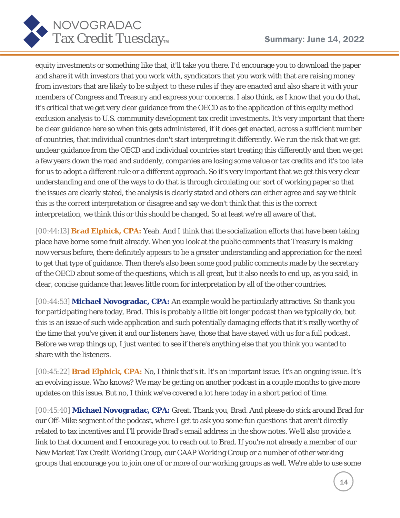

equity investments or something like that, it'll take you there. I'd encourage you to download the paper and share it with investors that you work with, syndicators that you work with that are raising money from investors that are likely to be subject to these rules if they are enacted and also share it with your members of Congress and Treasury and express your concerns. I also think, as I know that you do that, it's critical that we get very clear guidance from the OECD as to the application of this equity method exclusion analysis to U.S. community development tax credit investments. It's very important that there be clear guidance here so when this gets administered, if it does get enacted, across a sufficient number of countries, that individual countries don't start interpreting it differently. We run the risk that we get unclear guidance from the OECD and individual countries start treating this differently and then we get a few years down the road and suddenly, companies are losing some value or tax credits and it's too late for us to adopt a different rule or a different approach. So it's very important that we get this very clear understanding and one of the ways to do that is through circulating our sort of working paper so that the issues are clearly stated, the analysis is clearly stated and others can either agree and say we think this is the correct interpretation or disagree and say we don't think that this is the correct interpretation, we think this or this should be changed. So at least we're all aware of that.

[00:44:13] **Brad Elphick, CPA:** Yeah. And I think that the socialization efforts that have been taking place have borne some fruit already. When you look at the public comments that Treasury is making now versus before, there definitely appears to be a greater understanding and appreciation for the need to get that type of guidance. Then there's also been some good public comments made by the secretary of the OECD about some of the questions, which is all great, but it also needs to end up, as you said, in clear, concise guidance that leaves little room for interpretation by all of the other countries.

[00:44:53] **Michael Novogradac, CPA:** An example would be particularly attractive. So thank you for participating here today, Brad. This is probably a little bit longer podcast than we typically do, but this is an issue of such wide application and such potentially damaging effects that it's really worthy of the time that you've given it and our listeners have, those that have stayed with us for a full podcast. Before we wrap things up, I just wanted to see if there's anything else that you think you wanted to share with the listeners.

[00:45:22] **Brad Elphick, CPA:** No, I think that's it. It's an important issue. It's an ongoing issue. It's an evolving issue. Who knows? We may be getting on another podcast in a couple months to give more updates on this issue. But no, I think we've covered a lot here today in a short period of time.

[00:45:40] **Michael Novogradac, CPA:** Great. Thank you, Brad. And please do stick around Brad for our Off-Mike segment of the podcast, where I get to ask you some fun questions that aren't directly related to tax incentives and I'll provide Brad's email address in the show notes. We'll also provide a link to that document and I encourage you to reach out to Brad. If you're not already a member of our New Market Tax Credit Working Group, our GAAP Working Group or a number of other working groups that encourage you to join one of or more of our working groups as well. We're able to use some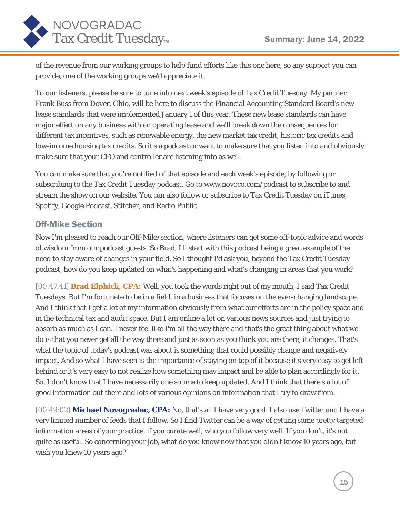

of the revenue from our working groups to help fund efforts like this one here, so any support you can provide, one of the working groups we'd appreciate it.

To our listeners, please be sure to tune into next week's episode of Tax Credit Tuesday. My partner Frank Buss from Dover, Ohio, will be here to discuss the Financial Accounting Standard Board's new lease standards that were implemented January 1 of this year. These new lease standards can have major effect on any business with an operating lease and we'll break down the consequences for different tax incentives, such as renewable energy, the new market tax credit, historic tax credits and low-income housing tax credits. So it's a podcast or want to make sure that you listen into and obviously make sure that your CFO and controller are listening into as well.

You can make sure that you're notified of that episode and each week's episode, by following or subscribing to the Tax Credit Tuesday podcast. Go to www.novoco.com/podcast to subscribe to and stream the show on our website. You can also follow or subscribe to Tax Credit Tuesday on iTunes, Spotify, Google Podcast, Stitcher, and Radio Public.

#### Off-Mike Section

Now I'm pleased to reach our Off-Mike section, where listeners can get some off-topic advice and words of wisdom from our podcast guests. So Brad, I'll start with this podcast being a great example of the need to stay aware of changes in your field. So I thought I'd ask you, beyond the Tax Credit Tuesday podcast, how do you keep updated on what's happening and what's changing in areas that you work?

[00:47:41] **Brad Elphick, CPA:** Well, you took the words right out of my mouth, I said Tax Credit Tuesdays. But I'm fortunate to be in a field, in a business that focuses on the ever-changing landscape. And I think that I get a lot of my information obviously from what our efforts are in the policy space and in the technical tax and audit space. But I am online a lot on various news sources and just trying to absorb as much as I can. I never feel like I'm all the way there and that's the great thing about what we do is that you never get all the way there and just as soon as you think you are there, it changes. That's what the topic of today's podcast was about is something that could possibly change and negatively impact. And so what I have seen is the importance of staying on top of it because it's very easy to get left behind or it's very easy to not realize how something may impact and be able to plan accordingly for it. So, I don't know that I have necessarily one source to keep updated. And I think that there's a lot of good information out there and lots of various opinions on information that I try to draw from.

[00:49:02] **Michael Novogradac, CPA:** No, that's all I have very good. I also use Twitter and I have a very limited number of feeds that I follow. So I find Twitter can be a way of getting some pretty targeted information areas of your practice, if you curate well, who you follow very well. If you don't, it's not quite as useful. So concerning your job, what do you know now that you didn't know 10 years ago, but wish you knew 10 years ago?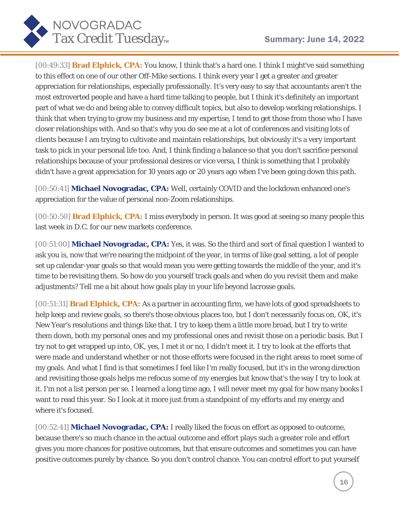

[00:49:33] **Brad Elphick, CPA:** You know, I think that's a hard one. I think I might've said something to this effect on one of our other Off-Mike sections. I think every year I get a greater and greater appreciation for relationships, especially professionally. It's very easy to say that accountants aren't the most extroverted people and have a hard time talking to people, but I think it's definitely an important part of what we do and being able to convey difficult topics, but also to develop working relationships. I think that when trying to grow my business and my expertise, I tend to get those from those who I have closer relationships with. And so that's why you do see me at a lot of conferences and visiting lots of clients because I am trying to cultivate and maintain relationships, but obviously it's a very important task to pick in your personal life too. And, I think finding a balance so that you don't sacrifice personal relationships because of your professional desires or vice versa, I think is something that I probably didn't have a great appreciation for 10 years ago or 20 years ago when I've been going down this path.

[00:50:41] **Michael Novogradac, CPA:** Well, certainly COVID and the lockdown enhanced one's appreciation for the value of personal non-Zoom relationships.

[00:50:50] **Brad Elphick, CPA:** I miss everybody in person. It was good at seeing so many people this last week in D.C. for our new markets conference.

[00:51:00] **Michael Novogradac, CPA:** Yes, it was. So the third and sort of final question I wanted to ask you is, now that we're nearing the midpoint of the year, in terms of like goal setting, a lot of people set up calendar-year goals so that would mean you were getting towards the middle of the year, and it's time to be revisiting them. So how do you yourself track goals and when do you revisit them and make adjustments? Tell me a bit about how goals play in your life beyond lacrosse goals.

[00:51:31] **Brad Elphick, CPA:** As a partner in accounting firm, we have lots of good spreadsheets to help keep and review goals, so there's those obvious places too, but I don't necessarily focus on, OK, it's New Year's resolutions and things like that. I try to keep them a little more broad, but I try to write them down, both my personal ones and my professional ones and revisit those on a periodic basis. But I try not to get wrapped up into, OK, yes, I met it or no, I didn't meet it. I try to look at the efforts that were made and understand whether or not those efforts were focused in the right areas to meet some of my goals. And what I find is that sometimes I feel like I'm really focused, but it's in the wrong direction and revisiting those goals helps me refocus some of my energies but know that's the way I try to look at it. I'm not a list person per se. I learned a long time ago, I will never meet my goal for how many books I want to read this year. So I look at it more just from a standpoint of my efforts and my energy and where it's focused.

[00:52:41] **Michael Novogradac, CPA:** I really liked the focus on effort as opposed to outcome, because there's so much chance in the actual outcome and effort plays such a greater role and effort gives you more chances for positive outcomes, but that ensure outcomes and sometimes you can have positive outcomes purely by chance. So you don't control chance. You can control effort to put yourself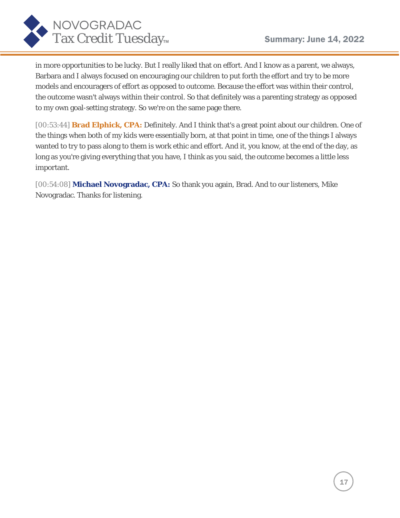

in more opportunities to be lucky. But I really liked that on effort. And I know as a parent, we always, Barbara and I always focused on encouraging our children to put forth the effort and try to be more models and encouragers of effort as opposed to outcome. Because the effort was within their control, the outcome wasn't always within their control. So that definitely was a parenting strategy as opposed to my own goal-setting strategy. So we're on the same page there.

[00:53:44] **Brad Elphick, CPA:** Definitely. And I think that's a great point about our children. One of the things when both of my kids were essentially born, at that point in time, one of the things I always wanted to try to pass along to them is work ethic and effort. And it, you know, at the end of the day, as long as you're giving everything that you have, I think as you said, the outcome becomes a little less important.

[00:54:08] **Michael Novogradac, CPA:** So thank you again, Brad. And to our listeners, Mike Novogradac. Thanks for listening.